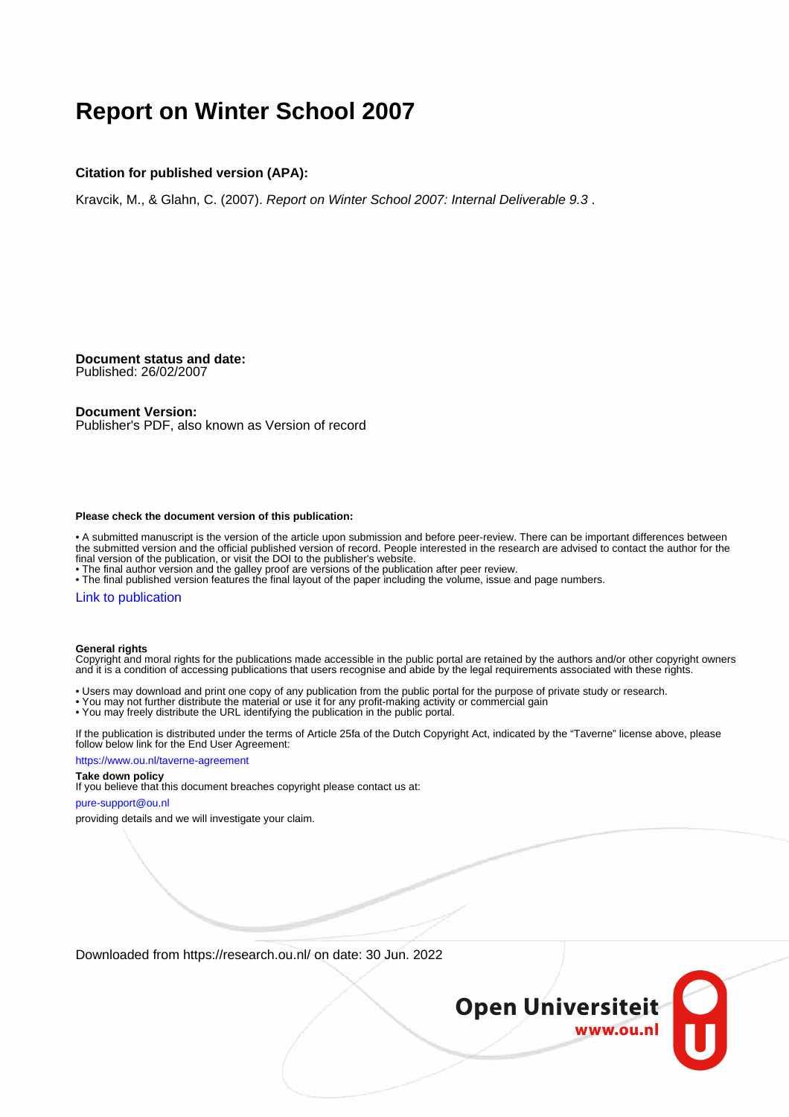# **Report on Winter School 2007**

#### **Citation for published version (APA):**

Kravcik, M., & Glahn, C. (2007). Report on Winter School 2007: Internal Deliverable 9.3 .

**Document status and date:** Published: 26/02/2007

#### **Document Version:**

Publisher's PDF, also known as Version of record

#### **Please check the document version of this publication:**

• A submitted manuscript is the version of the article upon submission and before peer-review. There can be important differences between the submitted version and the official published version of record. People interested in the research are advised to contact the author for the final version of the publication, or visit the DOI to the publisher's website.

• The final author version and the galley proof are versions of the publication after peer review.

• The final published version features the final layout of the paper including the volume, issue and page numbers.

#### [Link to publication](https://research.ou.nl/en/publications/d1a91324-9028-4b39-a055-996015c4d424)

#### **General rights**

Copyright and moral rights for the publications made accessible in the public portal are retained by the authors and/or other copyright owners and it is a condition of accessing publications that users recognise and abide by the legal requirements associated with these rights.

- Users may download and print one copy of any publication from the public portal for the purpose of private study or research.
- You may not further distribute the material or use it for any profit-making activity or commercial gain
- You may freely distribute the URL identifying the publication in the public portal.

If the publication is distributed under the terms of Article 25fa of the Dutch Copyright Act, indicated by the "Taverne" license above, please follow below link for the End User Agreement:

#### https://www.ou.nl/taverne-agreement

### **Take down policy**

If you believe that this document breaches copyright please contact us at:

#### pure-support@ou.nl

providing details and we will investigate your claim.

Downloaded from https://research.ou.nl/ on date: 30 Jun. 2022

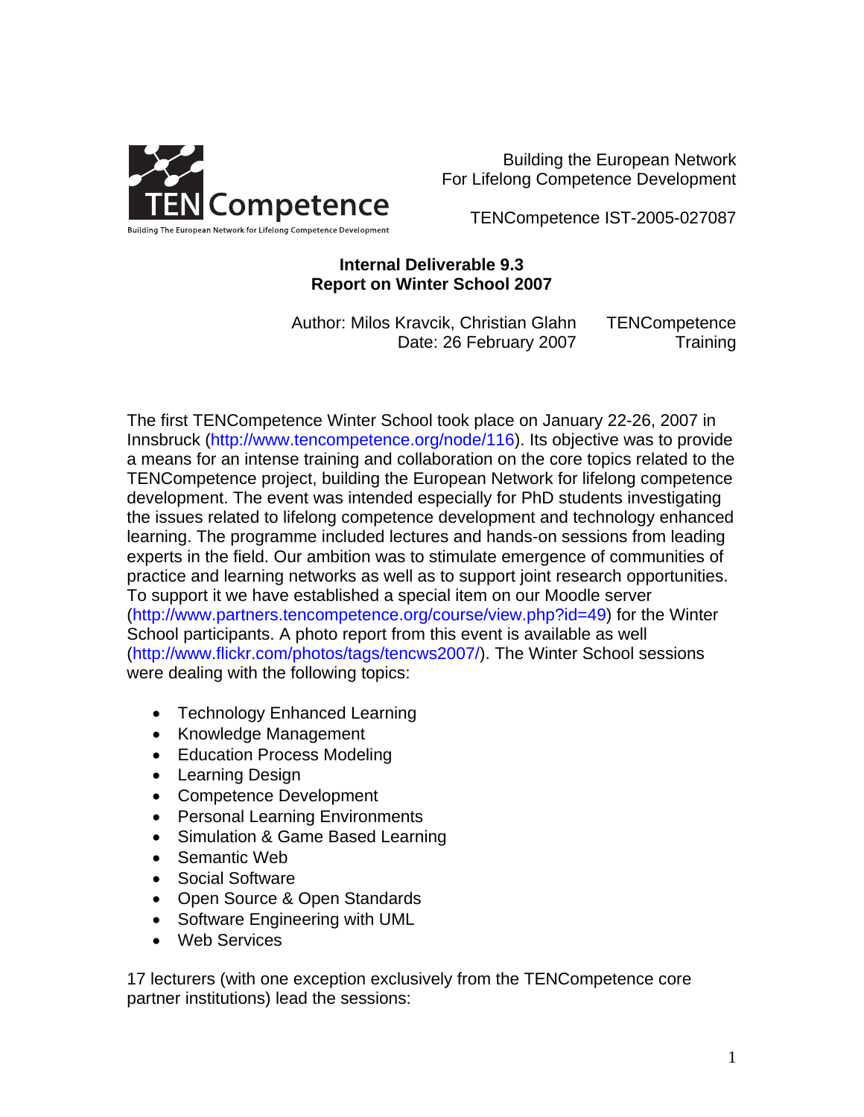

Building the European Network For Lifelong Competence Development

TENCompetence IST-2005-027087

### **Internal Deliverable 9.3 Report on Winter School 2007**

Author: Milos Kravcik, Christian Glahn Date: 26 February 2007 TENCompetence **Training** 

The first TENCompetence Winter School took place on January 22-26, 2007 in Innsbruck [\(http://www.tencompetence.org/node/116\)](http://www.tencompetence.org/node/116). Its objective was to provide a means for an intense training and collaboration on the core topics related to the TENCompetence project, building the European Network for lifelong competence development. The event was intended especially for PhD students investigating the issues related to lifelong competence development and technology enhanced learning. The programme included lectures and hands-on sessions from leading experts in the field. Our ambition was to stimulate emergence of communities of practice and learning networks as well as to support joint research opportunities. To support it we have established a special item on our Moodle server ([http://www.partners.tencompetence.org/course/view.php?id=49\)](http://www.partners.tencompetence.org/course/view.php?id=49) for the Winter School participants. A photo report from this event is available as well (<http://www.flickr.com/photos/tags/tencws2007/>). The Winter School sessions were dealing with the following topics:

- Technology Enhanced Learning
- Knowledge Management
- Education Process Modeling
- Learning Design
- Competence Development
- Personal Learning Environments
- Simulation & Game Based Learning
- Semantic Web
- Social Software
- Open Source & Open Standards
- Software Engineering with UML
- Web Services

17 lecturers (with one exception exclusively from the TENCompetence core partner institutions) lead the sessions: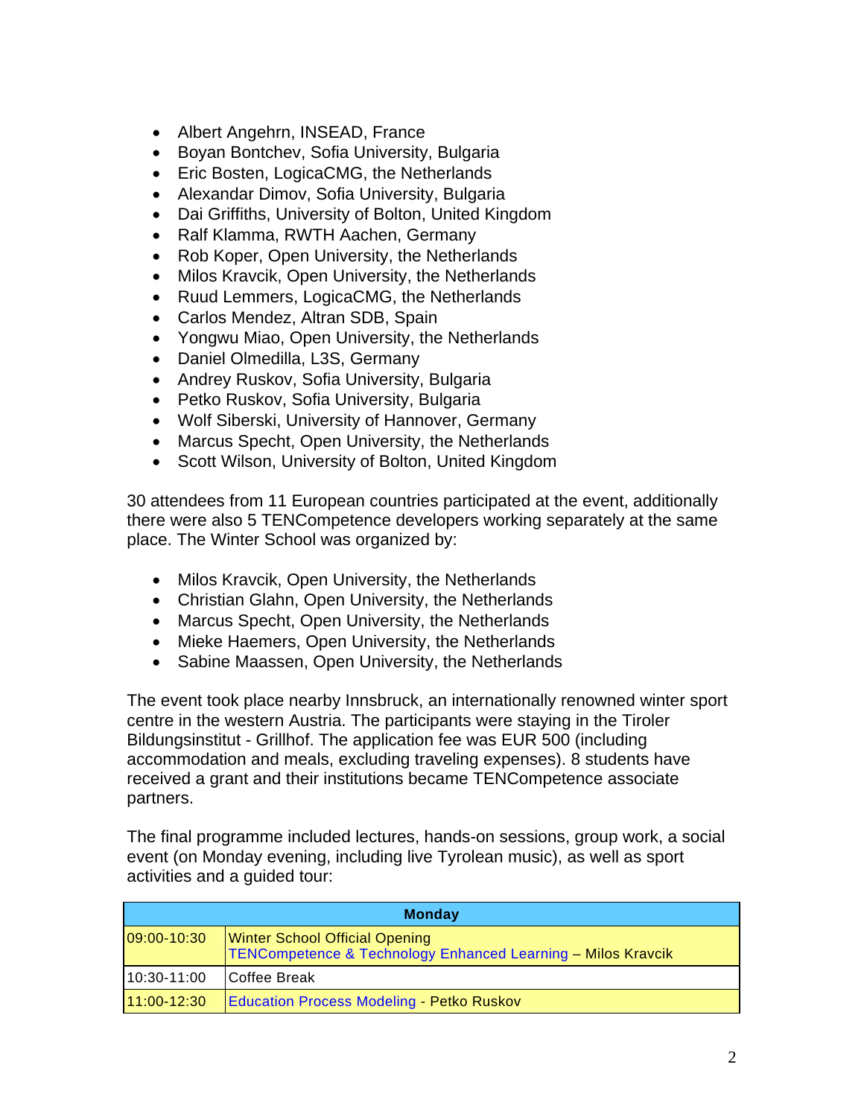- Albert Angehrn, INSEAD, France
- Boyan Bontchev, Sofia University, Bulgaria
- Eric Bosten, LogicaCMG, the Netherlands
- Alexandar Dimov, Sofia University, Bulgaria
- Dai Griffiths, University of Bolton, United Kingdom
- Ralf Klamma, RWTH Aachen, Germany
- Rob Koper, Open University, the Netherlands
- Milos Kravcik, Open University, the Netherlands
- Ruud Lemmers, LogicaCMG, the Netherlands
- Carlos Mendez, Altran SDB, Spain
- Yongwu Miao, Open University, the Netherlands
- Daniel Olmedilla, L3S, Germany
- Andrey Ruskov, Sofia University, Bulgaria
- Petko Ruskov, Sofia University, Bulgaria
- Wolf Siberski, University of Hannover, Germany
- Marcus Specht, Open University, the Netherlands
- Scott Wilson, University of Bolton, United Kingdom

30 attendees from 11 European countries participated at the event, additionally there were also 5 TENCompetence developers working separately at the same place. The Winter School was organized by:

- Milos Kravcik, Open University, the Netherlands
- Christian Glahn, Open University, the Netherlands
- Marcus Specht, Open University, the Netherlands
- Mieke Haemers, Open University, the Netherlands
- Sabine Maassen, Open University, the Netherlands

The event took place nearby Innsbruck, an internationally renowned winter sport centre in the western Austria. The participants were staying in the Tiroler Bildungsinstitut - Grillhof. The application fee was EUR 500 (including accommodation and meals, excluding traveling expenses). 8 students have received a grant and their institutions became TENCompetence associate partners.

The final programme included lectures, hands-on sessions, group work, a social event (on Monday evening, including live Tyrolean music), as well as sport activities and a guided tour:

| <b>Monday</b> |                                                                                                                  |  |  |  |
|---------------|------------------------------------------------------------------------------------------------------------------|--|--|--|
| 09:00-10:30   | <b>Winter School Official Opening</b><br><b>TENCompetence &amp; Technology Enhanced Learning - Milos Kravcik</b> |  |  |  |
| 10:30-11:00   | ICoffee Break                                                                                                    |  |  |  |
| $11:00-12:30$ | <b>Education Process Modeling - Petko Ruskov</b>                                                                 |  |  |  |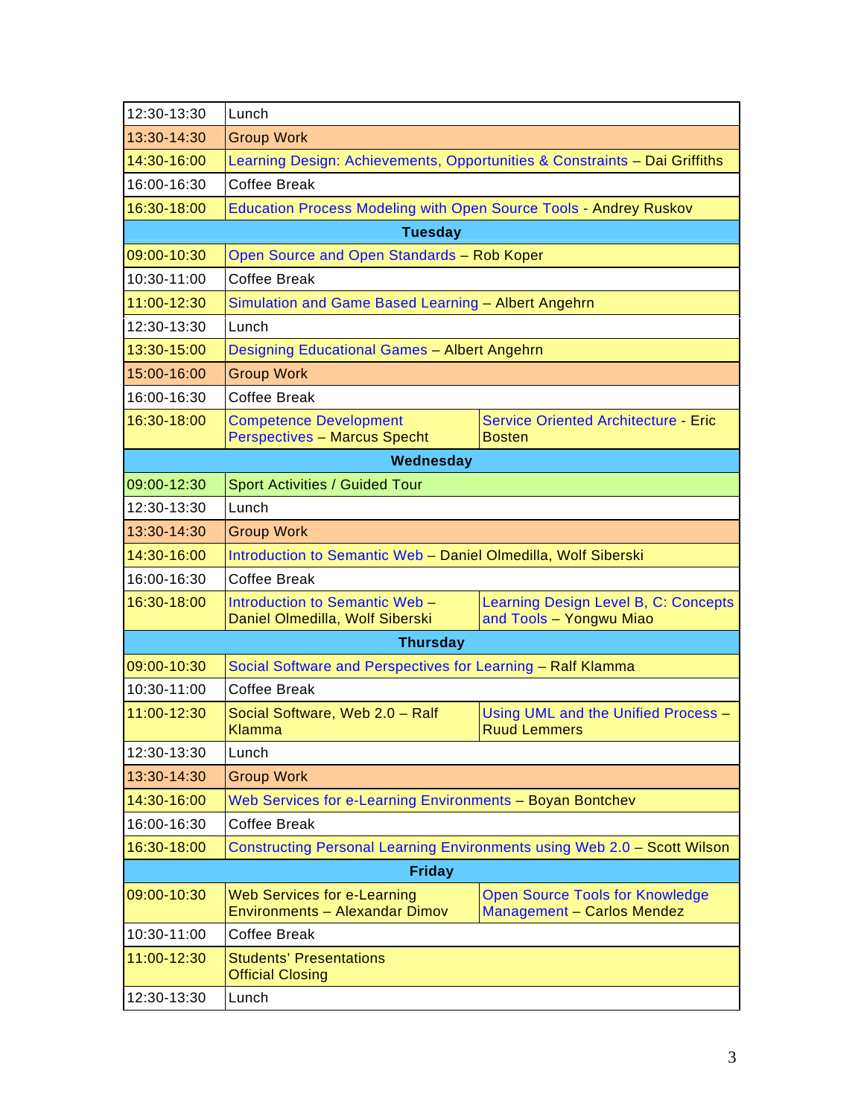| 12:30-13:30    | Lunch                                                                       |                                                                             |  |  |  |  |
|----------------|-----------------------------------------------------------------------------|-----------------------------------------------------------------------------|--|--|--|--|
| 13:30-14:30    | <b>Group Work</b>                                                           |                                                                             |  |  |  |  |
| 14:30-16:00    | Learning Design: Achievements, Opportunities & Constraints - Dai Griffiths  |                                                                             |  |  |  |  |
| 16:00-16:30    | Coffee Break                                                                |                                                                             |  |  |  |  |
| 16:30-18:00    | <b>Education Process Modeling with Open Source Tools - Andrey Ruskov</b>    |                                                                             |  |  |  |  |
| <b>Tuesday</b> |                                                                             |                                                                             |  |  |  |  |
| 09:00-10:30    | Open Source and Open Standards - Rob Koper                                  |                                                                             |  |  |  |  |
| 10:30-11:00    | <b>Coffee Break</b>                                                         |                                                                             |  |  |  |  |
| 11:00-12:30    | Simulation and Game Based Learning - Albert Angehrn                         |                                                                             |  |  |  |  |
| 12:30-13:30    | Lunch                                                                       |                                                                             |  |  |  |  |
| 13:30-15:00    | Designing Educational Games - Albert Angehrn                                |                                                                             |  |  |  |  |
| 15:00-16:00    | <b>Group Work</b>                                                           |                                                                             |  |  |  |  |
| 16:00-16:30    | <b>Coffee Break</b>                                                         |                                                                             |  |  |  |  |
| 16:30-18:00    | <b>Competence Development</b><br><b>Perspectives - Marcus Specht</b>        | <b>Service Oriented Architecture - Eric</b><br><b>Bosten</b>                |  |  |  |  |
|                | Wednesday                                                                   |                                                                             |  |  |  |  |
| 09:00-12:30    | <b>Sport Activities / Guided Tour</b>                                       |                                                                             |  |  |  |  |
| 12:30-13:30    | Lunch                                                                       |                                                                             |  |  |  |  |
| 13:30-14:30    | <b>Group Work</b>                                                           |                                                                             |  |  |  |  |
| 14:30-16:00    | Introduction to Semantic Web - Daniel Olmedilla, Wolf Siberski              |                                                                             |  |  |  |  |
| 16:00-16:30    | <b>Coffee Break</b>                                                         |                                                                             |  |  |  |  |
| 16:30-18:00    | Introduction to Semantic Web -<br>Daniel Olmedilla, Wolf Siberski           | Learning Design Level B, C: Concepts<br>and Tools - Yongwu Miao             |  |  |  |  |
|                | <b>Thursday</b>                                                             |                                                                             |  |  |  |  |
| 09:00-10:30    | Social Software and Perspectives for Learning - Ralf Klamma                 |                                                                             |  |  |  |  |
| 10:30-11:00    | <b>Coffee Break</b>                                                         |                                                                             |  |  |  |  |
| 11:00-12:30    | Social Software, Web 2.0 - Ralf<br>Klamma                                   | Using UML and the Unified Process -<br><b>Ruud Lemmers</b>                  |  |  |  |  |
| 12:30-13:30    | Lunch                                                                       |                                                                             |  |  |  |  |
| 13:30-14:30    | <b>Group Work</b>                                                           |                                                                             |  |  |  |  |
| 14:30-16:00    | Web Services for e-Learning Environments - Boyan Bontchev                   |                                                                             |  |  |  |  |
| 16:00-16:30    | <b>Coffee Break</b>                                                         |                                                                             |  |  |  |  |
| 16:30-18:00    | Constructing Personal Learning Environments using Web 2.0 - Scott Wilson    |                                                                             |  |  |  |  |
|                | <b>Friday</b>                                                               |                                                                             |  |  |  |  |
| 09:00-10:30    | <b>Web Services for e-Learning</b><br><b>Environments - Alexandar Dimov</b> | <b>Open Source Tools for Knowledge</b><br><b>Management - Carlos Mendez</b> |  |  |  |  |
| 10:30-11:00    | <b>Coffee Break</b>                                                         |                                                                             |  |  |  |  |
| 11:00-12:30    | <b>Students' Presentations</b><br><b>Official Closing</b>                   |                                                                             |  |  |  |  |
| 12:30-13:30    | Lunch                                                                       |                                                                             |  |  |  |  |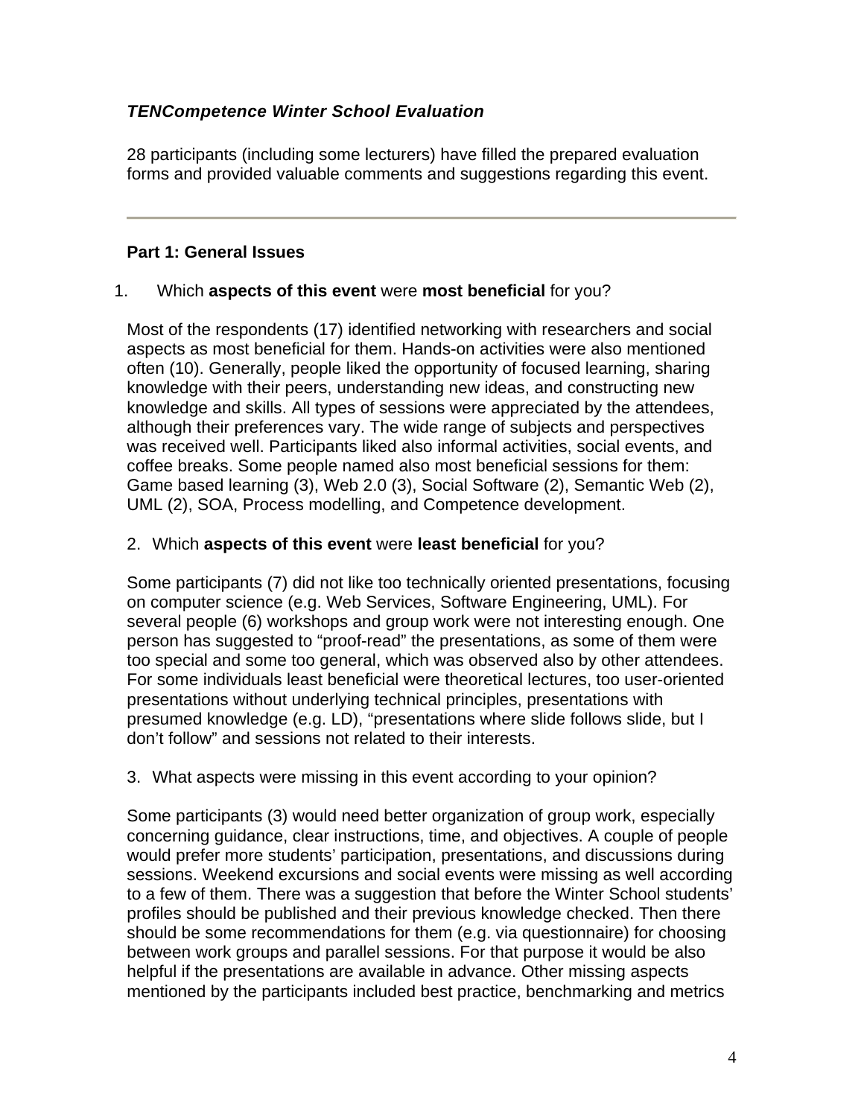# *TENCompetence Winter School Evaluation*

28 participants (including some lecturers) have filled the prepared evaluation forms and provided valuable comments and suggestions regarding this event.

## **Part 1: General Issues**

### 1. Which **aspects of this event** were **most beneficial** for you?

Most of the respondents (17) identified networking with researchers and social aspects as most beneficial for them. Hands-on activities were also mentioned often (10). Generally, people liked the opportunity of focused learning, sharing knowledge with their peers, understanding new ideas, and constructing new knowledge and skills. All types of sessions were appreciated by the attendees, although their preferences vary. The wide range of subjects and perspectives was received well. Participants liked also informal activities, social events, and coffee breaks. Some people named also most beneficial sessions for them: Game based learning (3), Web 2.0 (3), Social Software (2), Semantic Web (2), UML (2), SOA, Process modelling, and Competence development.

### 2. Which **aspects of this event** were **least beneficial** for you?

Some participants (7) did not like too technically oriented presentations, focusing on computer science (e.g. Web Services, Software Engineering, UML). For several people (6) workshops and group work were not interesting enough. One person has suggested to "proof-read" the presentations, as some of them were too special and some too general, which was observed also by other attendees. For some individuals least beneficial were theoretical lectures, too user-oriented presentations without underlying technical principles, presentations with presumed knowledge (e.g. LD), "presentations where slide follows slide, but I don't follow" and sessions not related to their interests.

### 3. What aspects were missing in this event according to your opinion?

Some participants (3) would need better organization of group work, especially concerning guidance, clear instructions, time, and objectives. A couple of people would prefer more students' participation, presentations, and discussions during sessions. Weekend excursions and social events were missing as well according to a few of them. There was a suggestion that before the Winter School students' profiles should be published and their previous knowledge checked. Then there should be some recommendations for them (e.g. via questionnaire) for choosing between work groups and parallel sessions. For that purpose it would be also helpful if the presentations are available in advance. Other missing aspects mentioned by the participants included best practice, benchmarking and metrics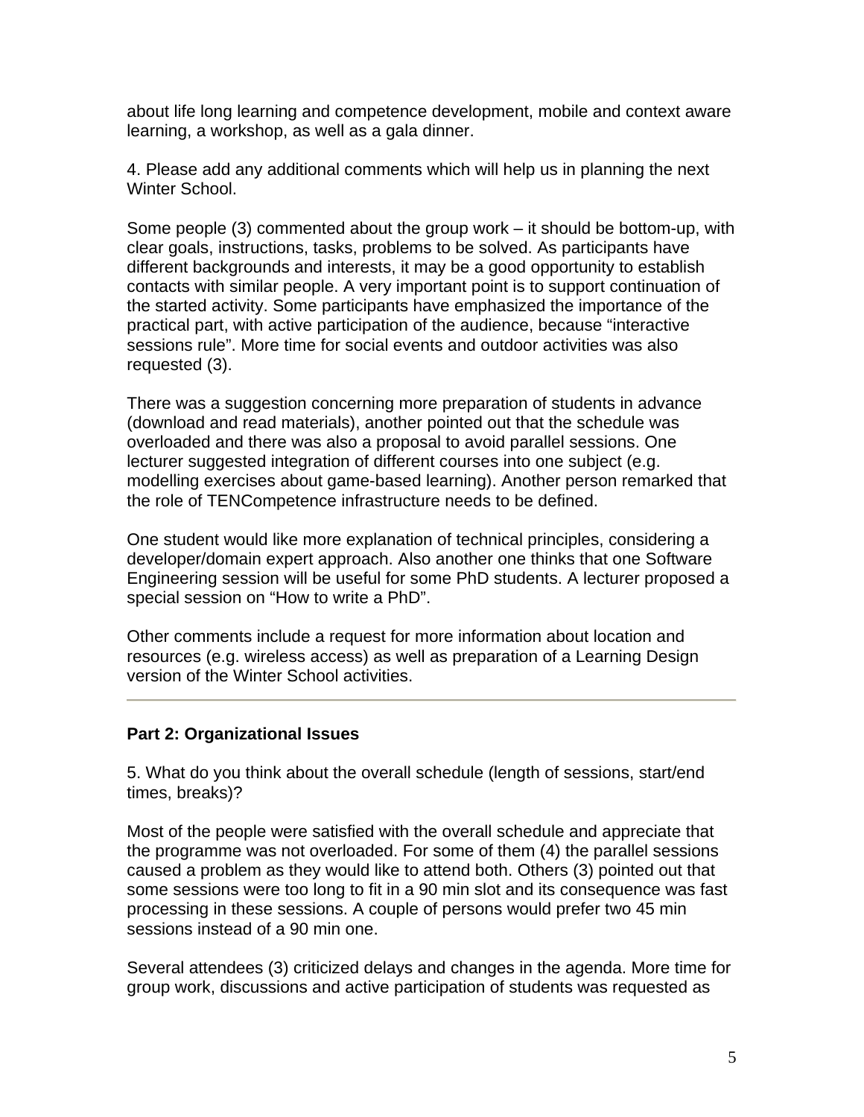about life long learning and competence development, mobile and context aware learning, a workshop, as well as a gala dinner.

4. Please add any additional comments which will help us in planning the next Winter School.

Some people (3) commented about the group work – it should be bottom-up, with clear goals, instructions, tasks, problems to be solved. As participants have different backgrounds and interests, it may be a good opportunity to establish contacts with similar people. A very important point is to support continuation of the started activity. Some participants have emphasized the importance of the practical part, with active participation of the audience, because "interactive sessions rule". More time for social events and outdoor activities was also requested (3).

There was a suggestion concerning more preparation of students in advance (download and read materials), another pointed out that the schedule was overloaded and there was also a proposal to avoid parallel sessions. One lecturer suggested integration of different courses into one subject (e.g. modelling exercises about game-based learning). Another person remarked that the role of TENCompetence infrastructure needs to be defined.

One student would like more explanation of technical principles, considering a developer/domain expert approach. Also another one thinks that one Software Engineering session will be useful for some PhD students. A lecturer proposed a special session on "How to write a PhD".

Other comments include a request for more information about location and resources (e.g. wireless access) as well as preparation of a Learning Design version of the Winter School activities.

### **Part 2: Organizational Issues**

5. What do you think about the overall schedule (length of sessions, start/end times, breaks)?

Most of the people were satisfied with the overall schedule and appreciate that the programme was not overloaded. For some of them (4) the parallel sessions caused a problem as they would like to attend both. Others (3) pointed out that some sessions were too long to fit in a 90 min slot and its consequence was fast processing in these sessions. A couple of persons would prefer two 45 min sessions instead of a 90 min one.

Several attendees (3) criticized delays and changes in the agenda. More time for group work, discussions and active participation of students was requested as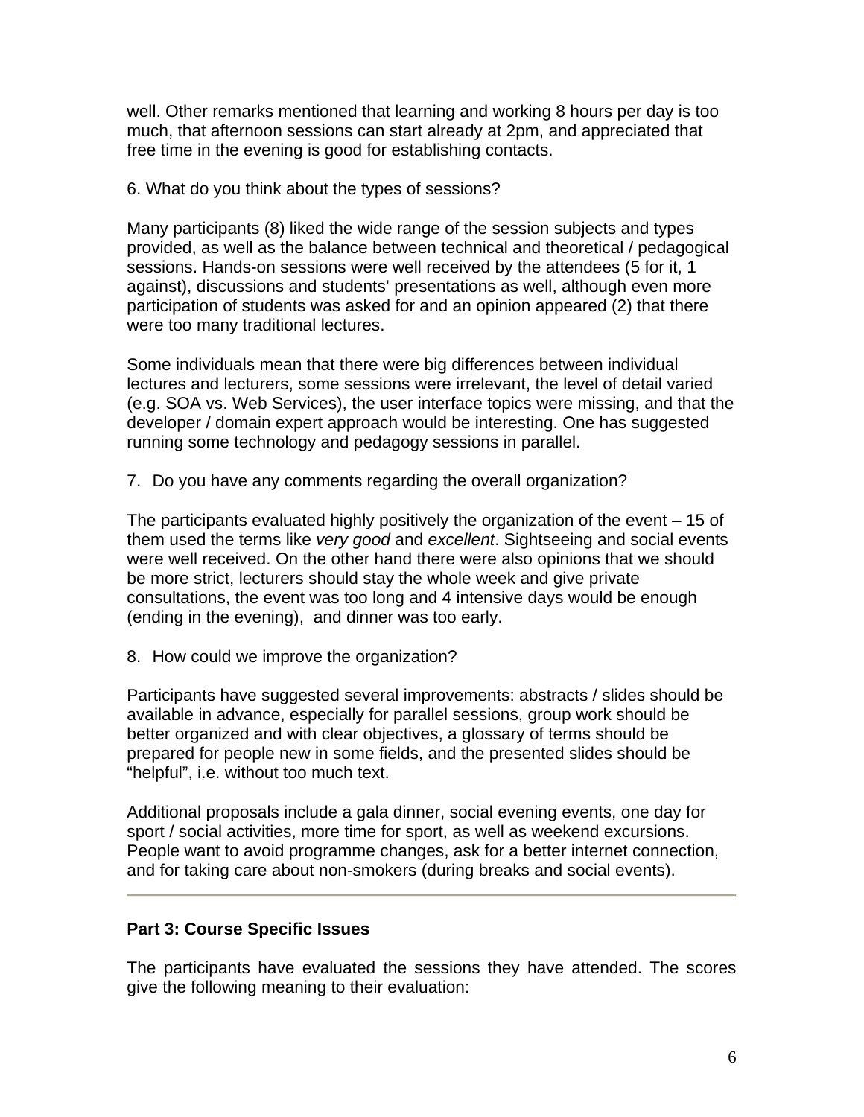well. Other remarks mentioned that learning and working 8 hours per day is too much, that afternoon sessions can start already at 2pm, and appreciated that free time in the evening is good for establishing contacts.

6. What do you think about the types of sessions?

Many participants (8) liked the wide range of the session subjects and types provided, as well as the balance between technical and theoretical / pedagogical sessions. Hands-on sessions were well received by the attendees (5 for it, 1 against), discussions and students' presentations as well, although even more participation of students was asked for and an opinion appeared (2) that there were too many traditional lectures.

Some individuals mean that there were big differences between individual lectures and lecturers, some sessions were irrelevant, the level of detail varied (e.g. SOA vs. Web Services), the user interface topics were missing, and that the developer / domain expert approach would be interesting. One has suggested running some technology and pedagogy sessions in parallel.

7. Do you have any comments regarding the overall organization?

The participants evaluated highly positively the organization of the event – 15 of them used the terms like *very good* and *excellent*. Sightseeing and social events were well received. On the other hand there were also opinions that we should be more strict, lecturers should stay the whole week and give private consultations, the event was too long and 4 intensive days would be enough (ending in the evening), and dinner was too early.

8. How could we improve the organization?

Participants have suggested several improvements: abstracts / slides should be available in advance, especially for parallel sessions, group work should be better organized and with clear objectives, a glossary of terms should be prepared for people new in some fields, and the presented slides should be "helpful", i.e. without too much text.

Additional proposals include a gala dinner, social evening events, one day for sport / social activities, more time for sport, as well as weekend excursions. People want to avoid programme changes, ask for a better internet connection, and for taking care about non-smokers (during breaks and social events).

# **Part 3: Course Specific Issues**

The participants have evaluated the sessions they have attended. The scores give the following meaning to their evaluation: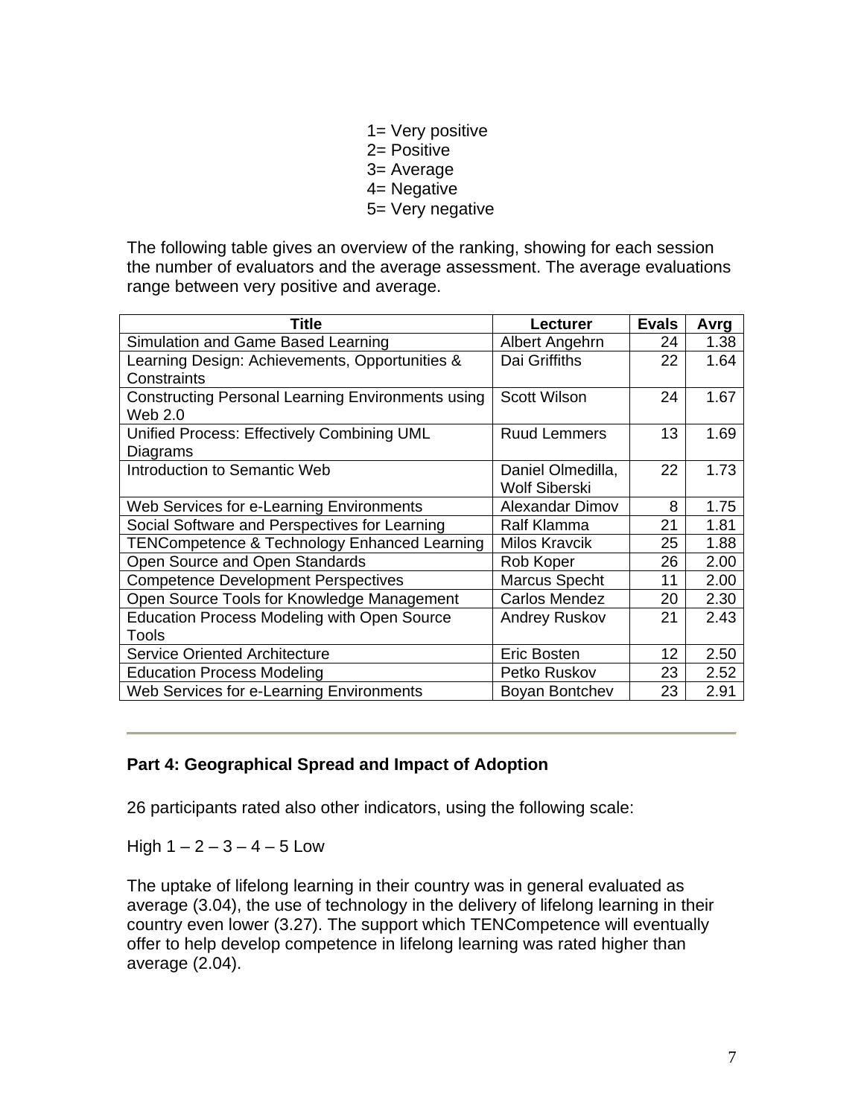- 1= Very positive
- 2= Positive
- 3= Average
- 4= Negative
- 5= Very negative

The following table gives an overview of the ranking, showing for each session the number of evaluators and the average assessment. The average evaluations range between very positive and average.

| Title                                                               | <b>Lecturer</b>                           | <b>Evals</b> | Avrg |
|---------------------------------------------------------------------|-------------------------------------------|--------------|------|
| Simulation and Game Based Learning                                  | Albert Angehrn                            | 24           | 1.38 |
| Learning Design: Achievements, Opportunities &<br>Constraints       | Dai Griffiths                             | 22           | 1.64 |
| <b>Constructing Personal Learning Environments using</b><br>Web 2.0 | <b>Scott Wilson</b>                       | 24           | 1.67 |
| Unified Process: Effectively Combining UML<br>Diagrams              | <b>Ruud Lemmers</b>                       | 13           | 1.69 |
| Introduction to Semantic Web                                        | Daniel Olmedilla,<br><b>Wolf Siberski</b> | 22           | 1.73 |
| Web Services for e-Learning Environments                            | Alexandar Dimov                           | 8            | 1.75 |
| Social Software and Perspectives for Learning                       | Ralf Klamma                               | 21           | 1.81 |
| <b>TENCompetence &amp; Technology Enhanced Learning</b>             | <b>Milos Kravcik</b>                      | 25           | 1.88 |
| Open Source and Open Standards                                      | Rob Koper                                 | 26           | 2.00 |
| <b>Competence Development Perspectives</b>                          | Marcus Specht                             | 11           | 2.00 |
| Open Source Tools for Knowledge Management                          | <b>Carlos Mendez</b>                      | 20           | 2.30 |
| Education Process Modeling with Open Source<br><b>Tools</b>         | <b>Andrey Ruskov</b>                      | 21           | 2.43 |
| <b>Service Oriented Architecture</b>                                | Eric Bosten                               | 12           | 2.50 |
| <b>Education Process Modeling</b>                                   | Petko Ruskov                              | 23           | 2.52 |
| Web Services for e-Learning Environments                            | Boyan Bontchev                            | 23           | 2.91 |

### **Part 4: Geographical Spread and Impact of Adoption**

26 participants rated also other indicators, using the following scale:

High  $1 - 2 - 3 - 4 - 5$  Low

The uptake of lifelong learning in their country was in general evaluated as average (3.04), the use of technology in the delivery of lifelong learning in their country even lower (3.27). The support which TENCompetence will eventually offer to help develop competence in lifelong learning was rated higher than average (2.04).